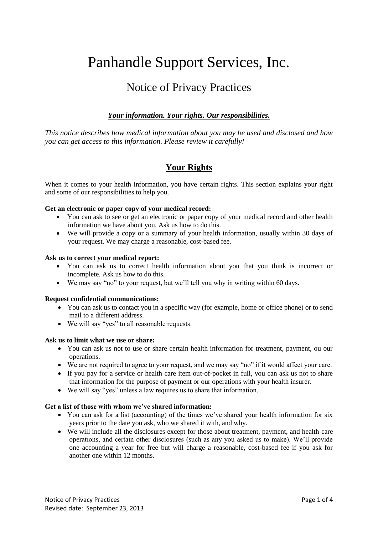# Panhandle Support Services, Inc.

## Notice of Privacy Practices

## *Your information. Your rights. Our responsibilities.*

*This notice describes how medical information about you may be used and disclosed and how you can get access to this information. Please review it carefully!*

## **Your Rights**

When it comes to your health information, you have certain rights. This section explains your right and some of our responsibilities to help you.

## **Get an electronic or paper copy of your medical record:**

- You can ask to see or get an electronic or paper copy of your medical record and other health information we have about you. Ask us how to do this.
- We will provide a copy or a summary of your health information, usually within 30 days of your request. We may charge a reasonable, cost-based fee.

## **Ask us to correct your medical report:**

- You can ask us to correct health information about you that you think is incorrect or incomplete. Ask us how to do this.
- We may say "no" to your request, but we'll tell you why in writing within 60 days.

## **Request confidential communications:**

- You can ask us to contact you in a specific way (for example, home or office phone) or to send mail to a different address.
- We will say "yes" to all reasonable requests.

## **Ask us to limit what we use or share:**

- You can ask us not to use or share certain health information for treatment, payment, ou our operations.
- We are not required to agree to your request, and we may say "no" if it would affect your care.
- If you pay for a service or health care item out-of-pocket in full, you can ask us not to share that information for the purpose of payment or our operations with your health insurer.
- We will say "yes" unless a law requires us to share that information.

## **Get a list of those with whom we've shared information:**

- You can ask for a list (accounting) of the times we've shared your health information for six years prior to the date you ask, who we shared it with, and why.
- We will include all the disclosures except for those about treatment, payment, and health care operations, and certain other disclosures (such as any you asked us to make). We'll provide one accounting a year for free but will charge a reasonable, cost-based fee if you ask for another one within 12 months.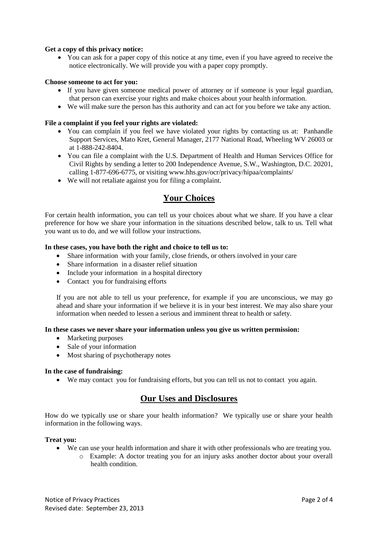## **Get a copy of this privacy notice:**

 You can ask for a paper copy of this notice at any time, even if you have agreed to receive the notice electronically. We will provide you with a paper copy promptly.

## **Choose someone to act for you:**

- If you have given someone medical power of attorney or if someone is your legal guardian, that person can exercise your rights and make choices about your health information.
- We will make sure the person has this authority and can act for you before we take any action.

## **File a complaint if you feel your rights are violated:**

- You can complain if you feel we have violated your rights by contacting us at: Panhandle Support Services, Mato Kret, General Manager, 2177 National Road, Wheeling WV 26003 or at 1-888-242-8404.
- You can file a complaint with the U.S. Department of Health and Human Services Office for Civil Rights by sending a letter to 200 Independence Avenue, S.W., Washington, D.C. 20201, calling 1-877-696-6775, or visiting [www.hhs.gov/ocr/privacy/hipaa/complaints/](http://www.hhs.gov/ocr/privacy/hipaa/complaints/)
- We will not retaliate against you for filing a complaint.

## **Your Choices**

For certain health information, you can tell us your choices about what we share. If you have a clear preference for how we share your information in the situations described below, talk to us. Tell what you want us to do, and we will follow your instructions.

## **In these cases, you have both the right and choice to tell us to:**

- Share information with your family, close friends, or others involved in your care
- Share information in a disaster relief situation
- Include your information in a hospital directory
- Contact you for fundraising efforts

If you are not able to tell us your preference, for example if you are unconscious, we may go ahead and share your information if we believe it is in your best interest. We may also share your information when needed to lessen a serious and imminent threat to health or safety.

### **In these cases we never share your information unless you give us written permission:**

- Marketing purposes
- Sale of your information
- Most sharing of psychotherapy notes

#### **In the case of fundraising:**

We may contact you for fundraising efforts, but you can tell us not to contact you again.

## **Our Uses and Disclosures**

How do we typically use or share your health information? We typically use or share your health information in the following ways.

#### **Treat you:**

- We can use your health information and share it with other professionals who are treating you.
	- o Example: A doctor treating you for an injury asks another doctor about your overall health condition.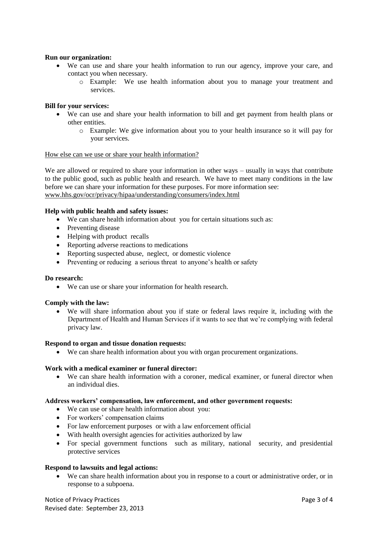## **Run our organization:**

- We can use and share your health information to run our agency, improve your care, and contact you when necessary.
	- o Example: We use health information about you to manage your treatment and services.

## **Bill for your services:**

- We can use and share your health information to bill and get payment from health plans or other entities.
	- o Example: We give information about you to your health insurance so it will pay for your services.

## How else can we use or share your health information?

We are allowed or required to share your information in other ways – usually in ways that contribute to the public good, such as public health and research. We have to meet many conditions in the law before we can share your information for these purposes. For more information see: [www.hhs.gov/ocr/privacy/hipaa/understanding/consumers/index.html](http://www.hhs.gov/ocr/privacy/hipaa/understanding/consumers/index.html)

## **Help with public health and safety issues:**

- We can share health information about you for certain situations such as:
- Preventing disease
- Helping with product recalls
- Reporting adverse reactions to medications
- Reporting suspected abuse, neglect, or domestic violence
- Preventing or reducing a serious threat to anyone's health or safety

#### **Do research:**

We can use or share your information for health research.

## **Comply with the law:**

 We will share information about you if state or federal laws require it, including with the Department of Health and Human Services if it wants to see that we're complying with federal privacy law.

#### **Respond to organ and tissue donation requests:**

We can share health information about you with organ procurement organizations.

## **Work with a medical examiner or funeral director:**

 We can share health information with a coroner, medical examiner, or funeral director when an individual dies.

## **Address workers' compensation, law enforcement, and other government requests:**

- We can use or share health information about you:
- For workers' compensation claims
- For law enforcement purposes or with a law enforcement official
- With health oversight agencies for activities authorized by law
- For special government functions such as military, national security, and presidential protective services

## **Respond to lawsuits and legal actions:**

 We can share health information about you in response to a court or administrative order, or in response to a subpoena.